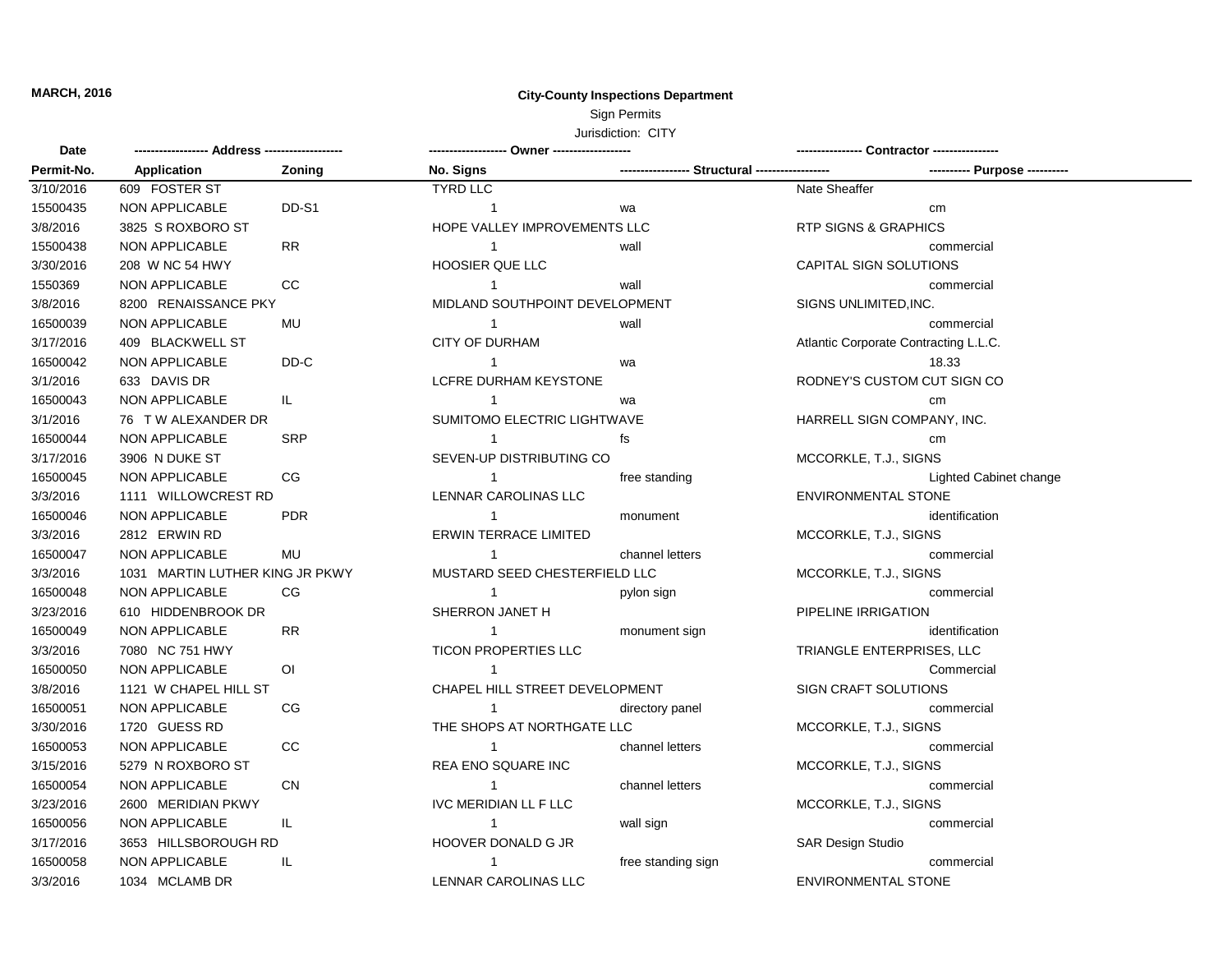## **MARCH, 2016 City-County Inspections Department** Sign Permits

## Jurisdiction: CITY

| <b>Date</b> |                                 |                |                                |                                    |                                       |  |
|-------------|---------------------------------|----------------|--------------------------------|------------------------------------|---------------------------------------|--|
| Permit-No.  | Application                     | Zoning         | No. Signs                      | ----------------- Structural ----- |                                       |  |
| 3/10/2016   | 609 FOSTER ST                   |                | <b>TYRD LLC</b>                |                                    | Nate Sheaffer                         |  |
| 15500435    | <b>NON APPLICABLE</b>           | DD-S1          | $\overline{1}$                 | wa                                 | cm                                    |  |
| 3/8/2016    | 3825 S ROXBORO ST               |                | HOPE VALLEY IMPROVEMENTS LLC   |                                    | <b>RTP SIGNS &amp; GRAPHICS</b>       |  |
| 15500438    | <b>NON APPLICABLE</b>           | ${\sf RR}$     | $\overline{1}$                 | wall                               | commercial                            |  |
| 3/30/2016   | 208 W NC 54 HWY                 |                | <b>HOOSIER QUE LLC</b>         |                                    | <b>CAPITAL SIGN SOLUTIONS</b>         |  |
| 1550369     | NON APPLICABLE                  | $_{\rm CC}$    | $\overline{1}$                 | wall                               | commercial                            |  |
| 3/8/2016    | 8200 RENAISSANCE PKY            |                | MIDLAND SOUTHPOINT DEVELOPMENT |                                    | SIGNS UNLIMITED, INC.                 |  |
| 16500039    | <b>NON APPLICABLE</b>           | MU             | $\overline{1}$                 | wall                               | commercial                            |  |
| 3/17/2016   | 409 BLACKWELL ST                |                | <b>CITY OF DURHAM</b>          |                                    | Atlantic Corporate Contracting L.L.C. |  |
| 16500042    | <b>NON APPLICABLE</b>           | DD-C           | $\overline{1}$                 | wa                                 | 18.33                                 |  |
| 3/1/2016    | 633 DAVIS DR                    |                | LCFRE DURHAM KEYSTONE          |                                    | RODNEY'S CUSTOM CUT SIGN CO           |  |
| 16500043    | <b>NON APPLICABLE</b>           | IL.            | $\overline{1}$                 | wa                                 | cm                                    |  |
| 3/1/2016    | 76 T W ALEXANDER DR             |                | SUMITOMO ELECTRIC LIGHTWAVE    |                                    | HARRELL SIGN COMPANY, INC.            |  |
| 16500044    | <b>NON APPLICABLE</b>           | <b>SRP</b>     | $\overline{1}$                 | fs                                 | cm                                    |  |
| 3/17/2016   | 3906 N DUKE ST                  |                | SEVEN-UP DISTRIBUTING CO       |                                    | MCCORKLE, T.J., SIGNS                 |  |
| 16500045    | <b>NON APPLICABLE</b>           | CG             | $\mathbf{1}$                   | free standing                      | Lighted Cabinet change                |  |
| 3/3/2016    | 1111 WILLOWCREST RD             |                | LENNAR CAROLINAS LLC           |                                    | <b>ENVIRONMENTAL STONE</b>            |  |
| 16500046    | <b>NON APPLICABLE</b>           | <b>PDR</b>     | $\mathbf{1}$                   | monument                           | identification                        |  |
| 3/3/2016    | 2812 ERWIN RD                   |                | <b>ERWIN TERRACE LIMITED</b>   |                                    | MCCORKLE, T.J., SIGNS                 |  |
| 16500047    | <b>NON APPLICABLE</b>           | MU             | $\overline{1}$                 | channel letters                    | commercial                            |  |
| 3/3/2016    | 1031 MARTIN LUTHER KING JR PKWY |                | MUSTARD SEED CHESTERFIELD LLC  |                                    | MCCORKLE, T.J., SIGNS                 |  |
| 16500048    | NON APPLICABLE                  | CG             |                                | pylon sign                         | commercial                            |  |
| 3/23/2016   | 610 HIDDENBROOK DR              |                | SHERRON JANET H                |                                    | PIPELINE IRRIGATION                   |  |
| 16500049    | NON APPLICABLE                  | <b>RR</b>      | $\overline{1}$                 | monument sign                      | identification                        |  |
| 3/3/2016    | 7080 NC 751 HWY                 |                | TICON PROPERTIES LLC           |                                    | TRIANGLE ENTERPRISES, LLC             |  |
| 16500050    | <b>NON APPLICABLE</b>           | $\overline{O}$ | $\overline{1}$                 |                                    | Commercial                            |  |
| 3/8/2016    | 1121 W CHAPEL HILL ST           |                | CHAPEL HILL STREET DEVELOPMENT |                                    | SIGN CRAFT SOLUTIONS                  |  |
| 16500051    | NON APPLICABLE                  | CG             | $\overline{1}$                 | directory panel                    | commercial                            |  |
| 3/30/2016   | 1720 GUESS RD                   |                | THE SHOPS AT NORTHGATE LLC     |                                    | MCCORKLE, T.J., SIGNS                 |  |
| 16500053    | <b>NON APPLICABLE</b>           | CC             | $\mathbf{1}$                   | channel letters                    | commercial                            |  |
| 3/15/2016   | 5279 N ROXBORO ST               |                | REA ENO SQUARE INC             |                                    | MCCORKLE, T.J., SIGNS                 |  |
| 16500054    | <b>NON APPLICABLE</b>           | <b>CN</b>      | $\mathbf{1}$                   | channel letters                    | commercial                            |  |
| 3/23/2016   | 2600 MERIDIAN PKWY              |                | <b>IVC MERIDIAN LL F LLC</b>   |                                    | MCCORKLE, T.J., SIGNS                 |  |
| 16500056    | <b>NON APPLICABLE</b>           | IL.            | $\overline{1}$                 | wall sign                          | commercial                            |  |
| 3/17/2016   | 3653 HILLSBOROUGH RD            |                | HOOVER DONALD G JR             |                                    | <b>SAR Design Studio</b>              |  |
| 16500058    | NON APPLICABLE                  | IL.            | $\mathbf{1}$                   | free standing sign                 | commercial                            |  |
| 3/3/2016    | 1034 MCLAMB DR                  |                | LENNAR CAROLINAS LLC           |                                    | <b>ENVIRONMENTAL STONE</b>            |  |